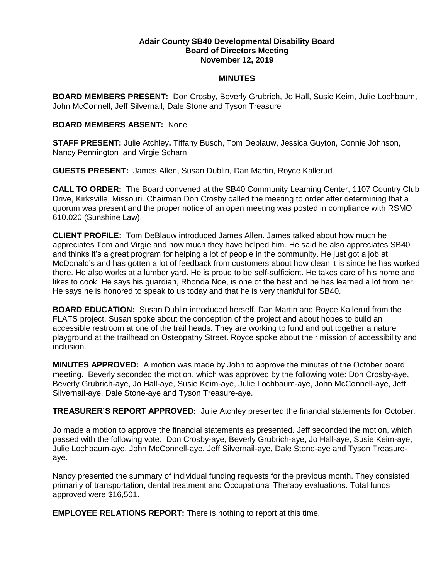## **Adair County SB40 Developmental Disability Board Board of Directors Meeting November 12, 2019**

## **MINUTES**

**BOARD MEMBERS PRESENT:** Don Crosby, Beverly Grubrich, Jo Hall, Susie Keim, Julie Lochbaum, John McConnell, Jeff Silvernail, Dale Stone and Tyson Treasure

## **BOARD MEMBERS ABSENT:** None

**STAFF PRESENT:** Julie Atchley**,** Tiffany Busch, Tom Deblauw, Jessica Guyton, Connie Johnson, Nancy Pennington and Virgie Scharn

**GUESTS PRESENT:** James Allen, Susan Dublin, Dan Martin, Royce Kallerud

**CALL TO ORDER:** The Board convened at the SB40 Community Learning Center, 1107 Country Club Drive, Kirksville, Missouri. Chairman Don Crosby called the meeting to order after determining that a quorum was present and the proper notice of an open meeting was posted in compliance with RSMO 610.020 (Sunshine Law).

**CLIENT PROFILE:** Tom DeBlauw introduced James Allen. James talked about how much he appreciates Tom and Virgie and how much they have helped him. He said he also appreciates SB40 and thinks it's a great program for helping a lot of people in the community. He just got a job at McDonald's and has gotten a lot of feedback from customers about how clean it is since he has worked there. He also works at a lumber yard. He is proud to be self-sufficient. He takes care of his home and likes to cook. He says his guardian, Rhonda Noe, is one of the best and he has learned a lot from her. He says he is honored to speak to us today and that he is very thankful for SB40.

**BOARD EDUCATION:** Susan Dublin introduced herself, Dan Martin and Royce Kallerud from the FLATS project. Susan spoke about the conception of the project and about hopes to build an accessible restroom at one of the trail heads. They are working to fund and put together a nature playground at the trailhead on Osteopathy Street. Royce spoke about their mission of accessibility and inclusion.

**MINUTES APPROVED:** A motion was made by John to approve the minutes of the October board meeting. Beverly seconded the motion, which was approved by the following vote: Don Crosby-aye, Beverly Grubrich-aye, Jo Hall-aye, Susie Keim-aye, Julie Lochbaum-aye, John McConnell-aye, Jeff Silvernail-aye, Dale Stone-aye and Tyson Treasure-aye.

**TREASURER'S REPORT APPROVED:** Julie Atchley presented the financial statements for October.

Jo made a motion to approve the financial statements as presented. Jeff seconded the motion, which passed with the following vote: Don Crosby-aye, Beverly Grubrich-aye, Jo Hall-aye, Susie Keim-aye, Julie Lochbaum-aye, John McConnell-aye, Jeff Silvernail-aye, Dale Stone-aye and Tyson Treasureaye.

Nancy presented the summary of individual funding requests for the previous month. They consisted primarily of transportation, dental treatment and Occupational Therapy evaluations. Total funds approved were \$16,501.

**EMPLOYEE RELATIONS REPORT:** There is nothing to report at this time.